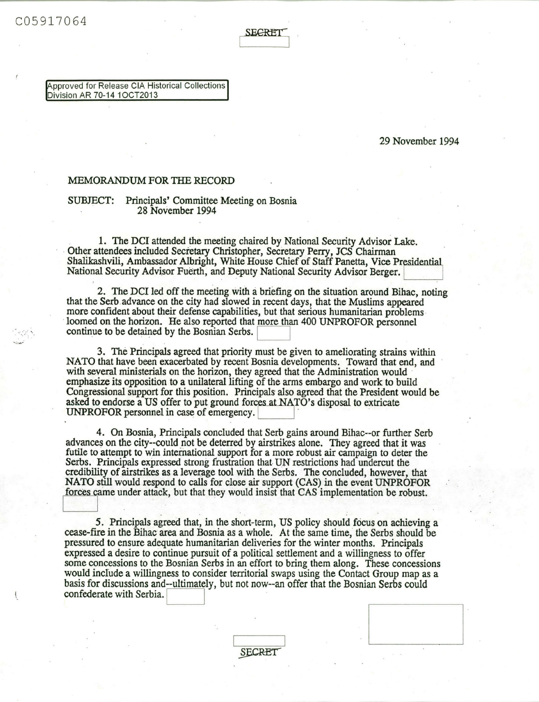ECRET

**pproved for Release CIA Historical Collections Division AR 70-14** 1OCT2013

## **29 November 1994**

## **MEMORANDUM FOR** THE **RECORD**

## **SUBJECT: Principals' Committee Meeting on Bosnia 28 November 1994**

**1. The DCI attended the meeting chaired by National Security Advisor Lake. Other attendees included Secretary Christopher, Secretary** Perry, JCS **Chairman Shalikashvili, Ambassador Albright, White House** *Chief* **of Staff Panetta, Vice** Preidential **National Security Advisor Fuerth, and Deputy National Security Advisor Berger.**

**2. The DCI led off the meeting with a briefing on the situation around Bihac, noting that the** Serb advance **on the city had slowed in recent days, that the Muslims appeared** loomed on the horizon. He also reported that more than 400 UNPROFOR personnel continue to be detained by the Bosnian Serbs.

**3. The Principals agreed that** priority **must be given to ameliorating strains within** NATO **that have been exacerbated by recent Bosnia developments. Toward that end, and with several ministerials on the horizon, they agreed that the Administration would emphasize its opposition to a unilateral lifting of the arms embargo and work to build Congressional support for this position. Principals also agreed that the President would be** asked to endorse a US offer to put ground forces at NATO's disposal to extricate **UNPROFOR** personnel in case of emergency.

**4. On Bosnia, Principals concluded that Serb gains around Bihac--or further Serb advances on the city--could not be deterred by airstrikes alone. They agreed that it was futile to attempt to win international support for a more robust air campaign to deter the Serbs. Principals expressed strong frustration that UN restrictions had undercut the credibility of airstrikes as a leverage tool with the Serbs. The concluded, however, that** NATO **still would respond to calls for close air support (CAS) in the event UNPROFOR** forces came under attack, but that they would insist that CAS implementation be robust.

*5.* **Principals agreed that, in the short-term, US policy should focus on achieving a cease-fire in the Bihac area and Bosnia as a whole. At the same time, the Serbs should be pressured to ensure adequate humanitarian deliveries for the winter months. Principals expressed a desire to continue pursuit of a political settlement and a willingness to offer some concessions to the Bosnian Serbs in** an **effort to bring them along. These concessions would include a willingness to consider territorial swaps using the Contact Group map as a basis for discussions and--ultimately, but not now--an offer that the Bosnian Serbs could confederate with Serbia.**

**SECRET**